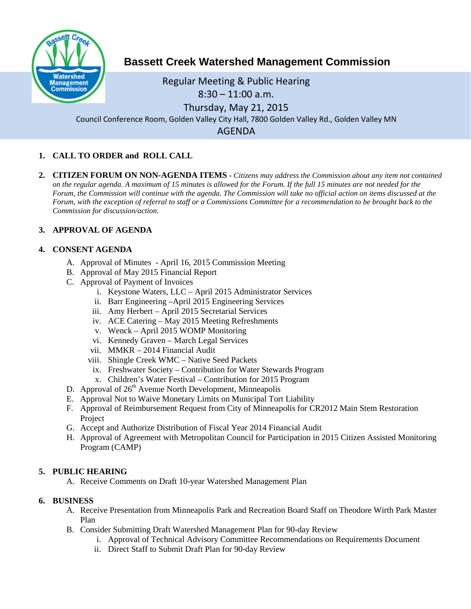

# **Bassett Creek Watershed Management Commission**

Regular Meeting & Public Hearing 8:30 – 11:00 a.m. Thursday, May 21, 2015

Council Conference Room, Golden Valley City Hall, 7800 Golden Valley Rd., Golden Valley MN

AGENDA

## **1. CALL TO ORDER and ROLL CALL**

**2. CITIZEN FORUM ON NON-AGENDA ITEMS -** *Citizens may address the Commission about any item not contained on the regular agenda. A maximum of 15 minutes is allowed for the Forum. If the full 15 minutes are not needed for the Forum, the Commission will continue with the agenda. The Commission will take no official action on items discussed at the Forum, with the exception of referral to staff or a Commissions Committee for a recommendation to be brought back to the Commission for discussion/action.*

## **3. APPROVAL OF AGENDA**

## **4. CONSENT AGENDA**

- A. Approval of Minutes April 16, 2015 Commission Meeting
- B. Approval of May 2015 Financial Report
- C. Approval of Payment of Invoices
	- i. Keystone Waters, LLC April 2015 Administrator Services
	- ii. Barr Engineering –April 2015 Engineering Services
	- iii. Amy Herbert April 2015 Secretarial Services
	- iv. ACE Catering May 2015 Meeting Refreshments
	- v. Wenck April 2015 WOMP Monitoring
	- vi. Kennedy Graven March Legal Services
	- vii. MMKR 2014 Financial Audit
	- viii. Shingle Creek WMC Native Seed Packets
	- ix. Freshwater Society Contribution for Water Stewards Program
	- x. Children's Water Festival Contribution for 2015 Program
- D. Approval of  $26<sup>th</sup>$  Avenue North Development, Minneapolis
- E. Approval Not to Waive Monetary Limits on Municipal Tort Liability
- F. Approval of Reimbursement Request from City of Minneapolis for CR2012 Main Stem Restoration Project
- G. Accept and Authorize Distribution of Fiscal Year 2014 Financial Audit
- H. Approval of Agreement with Metropolitan Council for Participation in 2015 Citizen Assisted Monitoring Program (CAMP)

## **5. PUBLIC HEARING**

A. Receive Comments on Draft 10-year Watershed Management Plan

#### **6. BUSINESS**

- A. Receive Presentation from Minneapolis Park and Recreation Board Staff on Theodore Wirth Park Master Plan
- B. Consider Submitting Draft Watershed Management Plan for 90-day Review
	- i. Approval of Technical Advisory Committee Recommendations on Requirements Document
	- ii. Direct Staff to Submit Draft Plan for 90-day Review